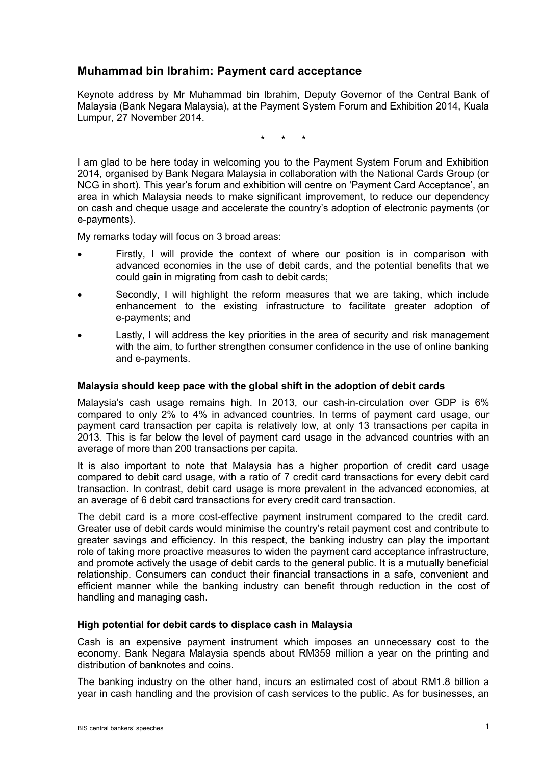# **Muhammad bin Ibrahim: Payment card acceptance**

Keynote address by Mr Muhammad bin Ibrahim, Deputy Governor of the Central Bank of Malaysia (Bank Negara Malaysia), at the Payment System Forum and Exhibition 2014, Kuala Lumpur, 27 November 2014.

\* \* \*

I am glad to be here today in welcoming you to the Payment System Forum and Exhibition 2014, organised by Bank Negara Malaysia in collaboration with the National Cards Group (or NCG in short). This year's forum and exhibition will centre on 'Payment Card Acceptance', an area in which Malaysia needs to make significant improvement, to reduce our dependency on cash and cheque usage and accelerate the country's adoption of electronic payments (or e-payments).

My remarks today will focus on 3 broad areas:

- Firstly, I will provide the context of where our position is in comparison with advanced economies in the use of debit cards, and the potential benefits that we could gain in migrating from cash to debit cards;
- Secondly, I will highlight the reform measures that we are taking, which include enhancement to the existing infrastructure to facilitate greater adoption of e-payments; and
- Lastly, I will address the key priorities in the area of security and risk management with the aim, to further strengthen consumer confidence in the use of online banking and e-payments.

#### **Malaysia should keep pace with the global shift in the adoption of debit cards**

Malaysia's cash usage remains high. In 2013, our cash-in-circulation over GDP is 6% compared to only 2% to 4% in advanced countries. In terms of payment card usage, our payment card transaction per capita is relatively low, at only 13 transactions per capita in 2013. This is far below the level of payment card usage in the advanced countries with an average of more than 200 transactions per capita.

It is also important to note that Malaysia has a higher proportion of credit card usage compared to debit card usage, with a ratio of 7 credit card transactions for every debit card transaction. In contrast, debit card usage is more prevalent in the advanced economies, at an average of 6 debit card transactions for every credit card transaction.

The debit card is a more cost-effective payment instrument compared to the credit card. Greater use of debit cards would minimise the country's retail payment cost and contribute to greater savings and efficiency. In this respect, the banking industry can play the important role of taking more proactive measures to widen the payment card acceptance infrastructure, and promote actively the usage of debit cards to the general public. It is a mutually beneficial relationship. Consumers can conduct their financial transactions in a safe, convenient and efficient manner while the banking industry can benefit through reduction in the cost of handling and managing cash.

## **High potential for debit cards to displace cash in Malaysia**

Cash is an expensive payment instrument which imposes an unnecessary cost to the economy. Bank Negara Malaysia spends about RM359 million a year on the printing and distribution of banknotes and coins.

The banking industry on the other hand, incurs an estimated cost of about RM1.8 billion a year in cash handling and the provision of cash services to the public. As for businesses, an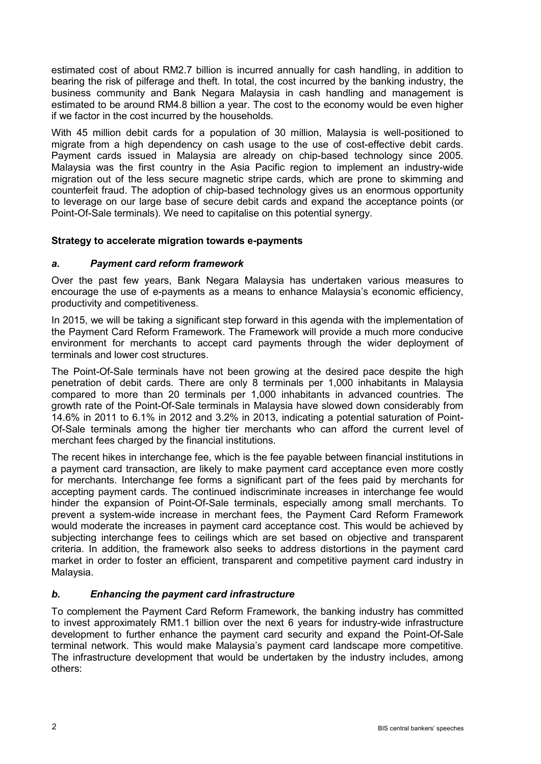estimated cost of about RM2.7 billion is incurred annually for cash handling, in addition to bearing the risk of pilferage and theft. In total, the cost incurred by the banking industry, the business community and Bank Negara Malaysia in cash handling and management is estimated to be around RM4.8 billion a year. The cost to the economy would be even higher if we factor in the cost incurred by the households*.*

With 45 million debit cards for a population of 30 million, Malaysia is well-positioned to migrate from a high dependency on cash usage to the use of cost-effective debit cards. Payment cards issued in Malaysia are already on chip-based technology since 2005. Malaysia was the first country in the Asia Pacific region to implement an industry-wide migration out of the less secure magnetic stripe cards, which are prone to skimming and counterfeit fraud. The adoption of chip-based technology gives us an enormous opportunity to leverage on our large base of secure debit cards and expand the acceptance points (or Point-Of-Sale terminals). We need to capitalise on this potential synergy.

## **Strategy to accelerate migration towards e-payments**

## *a. Payment card reform framework*

Over the past few years, Bank Negara Malaysia has undertaken various measures to encourage the use of e-payments as a means to enhance Malaysia's economic efficiency, productivity and competitiveness.

In 2015, we will be taking a significant step forward in this agenda with the implementation of the Payment Card Reform Framework. The Framework will provide a much more conducive environment for merchants to accept card payments through the wider deployment of terminals and lower cost structures.

The Point-Of-Sale terminals have not been growing at the desired pace despite the high penetration of debit cards. There are only 8 terminals per 1,000 inhabitants in Malaysia compared to more than 20 terminals per 1,000 inhabitants in advanced countries. The growth rate of the Point-Of-Sale terminals in Malaysia have slowed down considerably from 14.6% in 2011 to 6.1% in 2012 and 3.2% in 2013, indicating a potential saturation of Point-Of-Sale terminals among the higher tier merchants who can afford the current level of merchant fees charged by the financial institutions.

The recent hikes in interchange fee, which is the fee payable between financial institutions in a payment card transaction, are likely to make payment card acceptance even more costly for merchants. Interchange fee forms a significant part of the fees paid by merchants for accepting payment cards. The continued indiscriminate increases in interchange fee would hinder the expansion of Point-Of-Sale terminals, especially among small merchants. To prevent a system-wide increase in merchant fees, the Payment Card Reform Framework would moderate the increases in payment card acceptance cost. This would be achieved by subjecting interchange fees to ceilings which are set based on objective and transparent criteria. In addition, the framework also seeks to address distortions in the payment card market in order to foster an efficient, transparent and competitive payment card industry in Malaysia.

## *b. Enhancing the payment card infrastructure*

To complement the Payment Card Reform Framework, the banking industry has committed to invest approximately RM1.1 billion over the next 6 years for industry-wide infrastructure development to further enhance the payment card security and expand the Point-Of-Sale terminal network. This would make Malaysia's payment card landscape more competitive. The infrastructure development that would be undertaken by the industry includes, among others: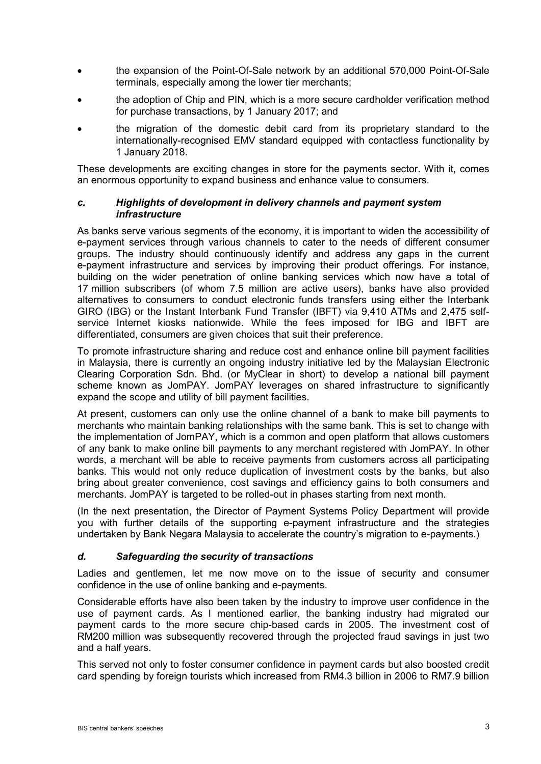- the expansion of the Point-Of-Sale network by an additional 570,000 Point-Of-Sale terminals, especially among the lower tier merchants;
- the adoption of Chip and PIN, which is a more secure cardholder verification method for purchase transactions, by 1 January 2017; and
- the migration of the domestic debit card from its proprietary standard to the internationally-recognised EMV standard equipped with contactless functionality by 1 January 2018.

These developments are exciting changes in store for the payments sector. With it, comes an enormous opportunity to expand business and enhance value to consumers.

#### *c. Highlights of development in delivery channels and payment system infrastructure*

As banks serve various segments of the economy, it is important to widen the accessibility of e-payment services through various channels to cater to the needs of different consumer groups. The industry should continuously identify and address any gaps in the current e-payment infrastructure and services by improving their product offerings. For instance, building on the wider penetration of online banking services which now have a total of 17 million subscribers (of whom 7.5 million are active users), banks have also provided alternatives to consumers to conduct electronic funds transfers using either the Interbank GIRO (IBG) or the Instant Interbank Fund Transfer (IBFT) via 9,410 ATMs and 2,475 selfservice Internet kiosks nationwide. While the fees imposed for IBG and IBFT are differentiated, consumers are given choices that suit their preference.

To promote infrastructure sharing and reduce cost and enhance online bill payment facilities in Malaysia, there is currently an ongoing industry initiative led by the Malaysian Electronic Clearing Corporation Sdn. Bhd. (or MyClear in short) to develop a national bill payment scheme known as JomPAY. JomPAY leverages on shared infrastructure to significantly expand the scope and utility of bill payment facilities.

At present, customers can only use the online channel of a bank to make bill payments to merchants who maintain banking relationships with the same bank. This is set to change with the implementation of JomPAY, which is a common and open platform that allows customers of any bank to make online bill payments to any merchant registered with JomPAY. In other words, a merchant will be able to receive payments from customers across all participating banks. This would not only reduce duplication of investment costs by the banks, but also bring about greater convenience, cost savings and efficiency gains to both consumers and merchants. JomPAY is targeted to be rolled-out in phases starting from next month.

(In the next presentation, the Director of Payment Systems Policy Department will provide you with further details of the supporting e-payment infrastructure and the strategies undertaken by Bank Negara Malaysia to accelerate the country's migration to e-payments.)

## *d. Safeguarding the security of transactions*

Ladies and gentlemen, let me now move on to the issue of security and consumer confidence in the use of online banking and e-payments.

Considerable efforts have also been taken by the industry to improve user confidence in the use of payment cards. As I mentioned earlier, the banking industry had migrated our payment cards to the more secure chip-based cards in 2005. The investment cost of RM200 million was subsequently recovered through the projected fraud savings in just two and a half years.

This served not only to foster consumer confidence in payment cards but also boosted credit card spending by foreign tourists which increased from RM4.3 billion in 2006 to RM7.9 billion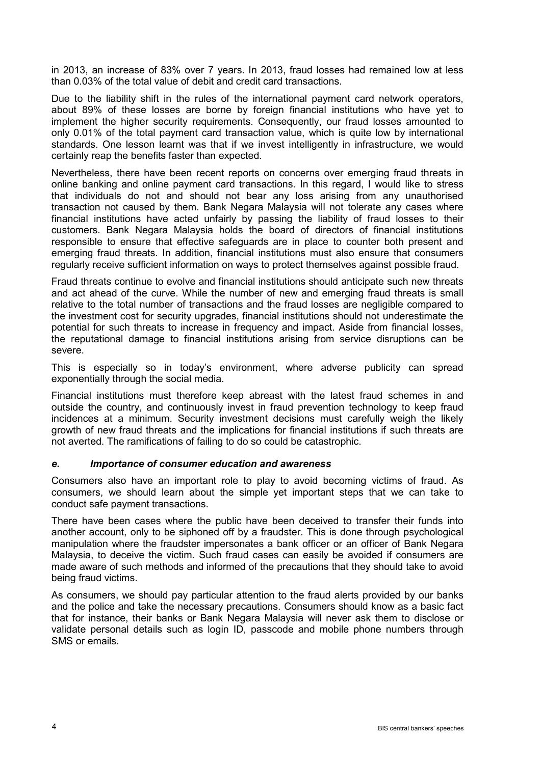in 2013, an increase of 83% over 7 years. In 2013, fraud losses had remained low at less than 0.03% of the total value of debit and credit card transactions.

Due to the liability shift in the rules of the international payment card network operators, about 89% of these losses are borne by foreign financial institutions who have yet to implement the higher security requirements. Consequently, our fraud losses amounted to only 0.01% of the total payment card transaction value, which is quite low by international standards. One lesson learnt was that if we invest intelligently in infrastructure, we would certainly reap the benefits faster than expected.

Nevertheless, there have been recent reports on concerns over emerging fraud threats in online banking and online payment card transactions. In this regard, I would like to stress that individuals do not and should not bear any loss arising from any unauthorised transaction not caused by them. Bank Negara Malaysia will not tolerate any cases where financial institutions have acted unfairly by passing the liability of fraud losses to their customers. Bank Negara Malaysia holds the board of directors of financial institutions responsible to ensure that effective safeguards are in place to counter both present and emerging fraud threats. In addition, financial institutions must also ensure that consumers regularly receive sufficient information on ways to protect themselves against possible fraud.

Fraud threats continue to evolve and financial institutions should anticipate such new threats and act ahead of the curve. While the number of new and emerging fraud threats is small relative to the total number of transactions and the fraud losses are negligible compared to the investment cost for security upgrades, financial institutions should not underestimate the potential for such threats to increase in frequency and impact. Aside from financial losses, the reputational damage to financial institutions arising from service disruptions can be severe.

This is especially so in today's environment, where adverse publicity can spread exponentially through the social media.

Financial institutions must therefore keep abreast with the latest fraud schemes in and outside the country, and continuously invest in fraud prevention technology to keep fraud incidences at a minimum. Security investment decisions must carefully weigh the likely growth of new fraud threats and the implications for financial institutions if such threats are not averted. The ramifications of failing to do so could be catastrophic.

## *e. Importance of consumer education and awareness*

Consumers also have an important role to play to avoid becoming victims of fraud. As consumers, we should learn about the simple yet important steps that we can take to conduct safe payment transactions.

There have been cases where the public have been deceived to transfer their funds into another account, only to be siphoned off by a fraudster. This is done through psychological manipulation where the fraudster impersonates a bank officer or an officer of Bank Negara Malaysia, to deceive the victim. Such fraud cases can easily be avoided if consumers are made aware of such methods and informed of the precautions that they should take to avoid being fraud victims.

As consumers, we should pay particular attention to the fraud alerts provided by our banks and the police and take the necessary precautions. Consumers should know as a basic fact that for instance, their banks or Bank Negara Malaysia will never ask them to disclose or validate personal details such as login ID, passcode and mobile phone numbers through SMS or emails.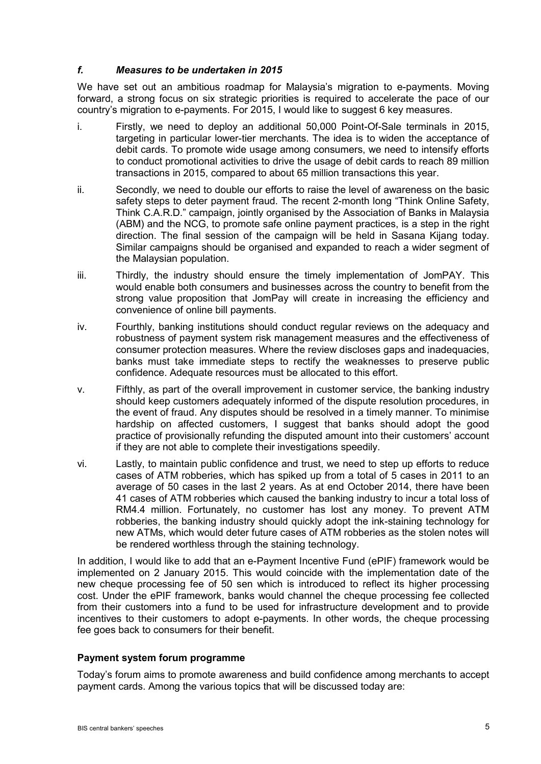## *f. Measures to be undertaken in 2015*

We have set out an ambitious roadmap for Malaysia's migration to e-payments. Moving forward, a strong focus on six strategic priorities is required to accelerate the pace of our country's migration to e-payments. For 2015, I would like to suggest 6 key measures.

- i. Firstly, we need to deploy an additional 50,000 Point-Of-Sale terminals in 2015, targeting in particular lower-tier merchants. The idea is to widen the acceptance of debit cards. To promote wide usage among consumers, we need to intensify efforts to conduct promotional activities to drive the usage of debit cards to reach 89 million transactions in 2015, compared to about 65 million transactions this year.
- ii. Secondly, we need to double our efforts to raise the level of awareness on the basic safety steps to deter payment fraud. The recent 2-month long "Think Online Safety, Think C.A.R.D." campaign, jointly organised by the Association of Banks in Malaysia (ABM) and the NCG, to promote safe online payment practices, is a step in the right direction. The final session of the campaign will be held in Sasana Kijang today. Similar campaigns should be organised and expanded to reach a wider segment of the Malaysian population.
- iii. Thirdly, the industry should ensure the timely implementation of JomPAY. This would enable both consumers and businesses across the country to benefit from the strong value proposition that JomPay will create in increasing the efficiency and convenience of online bill payments.
- iv. Fourthly, banking institutions should conduct regular reviews on the adequacy and robustness of payment system risk management measures and the effectiveness of consumer protection measures. Where the review discloses gaps and inadequacies, banks must take immediate steps to rectify the weaknesses to preserve public confidence. Adequate resources must be allocated to this effort.
- v. Fifthly, as part of the overall improvement in customer service, the banking industry should keep customers adequately informed of the dispute resolution procedures, in the event of fraud. Any disputes should be resolved in a timely manner. To minimise hardship on affected customers, I suggest that banks should adopt the good practice of provisionally refunding the disputed amount into their customers' account if they are not able to complete their investigations speedily.
- vi. Lastly, to maintain public confidence and trust, we need to step up efforts to reduce cases of ATM robberies, which has spiked up from a total of 5 cases in 2011 to an average of 50 cases in the last 2 years. As at end October 2014, there have been 41 cases of ATM robberies which caused the banking industry to incur a total loss of RM4.4 million. Fortunately, no customer has lost any money. To prevent ATM robberies, the banking industry should quickly adopt the ink-staining technology for new ATMs, which would deter future cases of ATM robberies as the stolen notes will be rendered worthless through the staining technology.

In addition, I would like to add that an e-Payment Incentive Fund (ePIF) framework would be implemented on 2 January 2015. This would coincide with the implementation date of the new cheque processing fee of 50 sen which is introduced to reflect its higher processing cost. Under the ePIF framework, banks would channel the cheque processing fee collected from their customers into a fund to be used for infrastructure development and to provide incentives to their customers to adopt e-payments. In other words, the cheque processing fee goes back to consumers for their benefit.

## **Payment system forum programme**

Today's forum aims to promote awareness and build confidence among merchants to accept payment cards. Among the various topics that will be discussed today are: